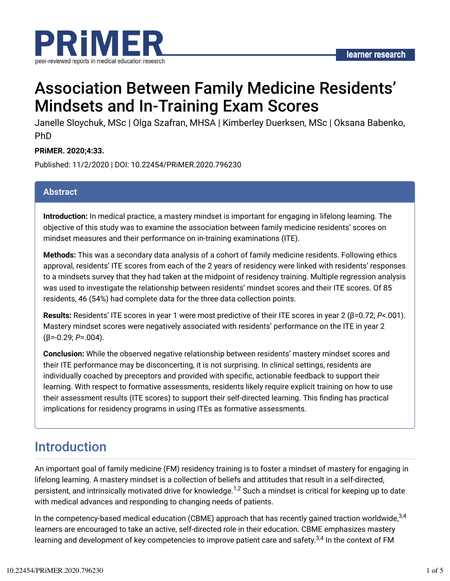

# Association Between Family Medicine Residents' Mindsets and In-Training Exam Scores

Janelle Sloychuk, MSc | Olga Szafran, MHSA | Kimberley Duerksen, MSc | Oksana Babenko, PhD

#### **PRiMER. 2020;4:33.**

Published: 11/2/2020 | DOI: 10.22454/PRiMER.2020.796230

#### **Abstract**

**Introduction:** In medical practice, a mastery mindset is important for engaging in lifelong learning. The objective of this study was to examine the association between family medicine residents' scores on mindset measures and their performance on in-training examinations (ITE).

**Methods:** This was a secondary data analysis of a cohort of family medicine residents. Following ethics approval, residents' ITE scores from each of the 2 years of residency were linked with residents' responses to a mindsets survey that they had taken at the midpoint of residency training. Multiple regression analysis was used to investigate the relationship between residents' mindset scores and their ITE scores. Of 85 residents, 46 (54%) had complete data for the three data collection points.

**Results:** Residents' ITE scores in year 1 were most predictive of their ITE scores in year 2 (β=0.72; *P*<.001). Mastery mindset scores were negatively associated with residents' performance on the ITE in year 2 (β=-0.29; *P*=.004).

**Conclusion:** While the observed negative relationship between residents' mastery mindset scores and their ITE performance may be disconcerting, it is not surprising. In clinical settings, residents are individually coached by preceptors and provided with specific, actionable feedback to support their learning. With respect to formative assessments, residents likely require explicit training on how to use their assessment results (ITE scores) to support their self-directed learning. This finding has practical implications for residency programs in using ITEs as formative assessments.

## Introduction

An important goal of family medicine (FM) residency training is to foster a mindset of mastery for engaging in lifelong learning. A mastery mindset is a collection of beliefs and attitudes that result in a self-directed, persistent, and intrinsically motivated drive for knowledge. $^{1,2}$  Such a mindset is critical for keeping up to date with medical advances and responding to changing needs of patients.

In the competency-based medical education (CBME) approach that has recently gained traction worldwide, $^{3,4}$ learners are encouraged to take an active, self-directed role in their education. CBME emphasizes mastery learning and development of key competencies to improve patient care and safety. $^{3,4}$  In the context of FM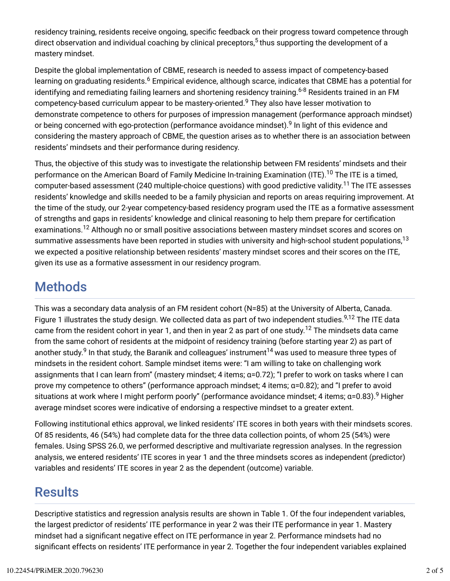residency training, residents receive ongoing, specific feedback on their progress toward competence through direct observation and individual coaching by clinical preceptors,<sup>5</sup> thus supporting the development of a mastery mindset.

Despite the global implementation of CBME, research is needed to assess impact of competency-based learning on graduating residents.<sup>6</sup> Empirical evidence, although scarce, indicates that CBME has a potential for identifying and remediating failing learners and shortening residency training.<sup>6-8</sup> Residents trained in an FM competency-based curriculum appear to be mastery-oriented. $^9$  They also have lesser motivation to demonstrate competence to others for purposes of impression management (performance approach mindset) or being concerned with ego-protection (performance avoidance mindset).<sup>9</sup> In light of this evidence and considering the mastery approach of CBME, the question arises as to whether there is an association between residents' mindsets and their performance during residency.

Thus, the objective of this study was to investigate the relationship between FM residents' mindsets and their performance on the American Board of Family Medicine In-training Examination (ITE).<sup>10</sup> The ITE is a timed, computer-based assessment (240 multiple-choice questions) with good predictive validity.<sup>11</sup> The ITE assesses residents' knowledge and skills needed to be a family physician and reports on areas requiring improvement. At the time of the study, our 2-year competency-based residency program used the ITE as a formative assessment of strengths and gaps in residents' knowledge and clinical reasoning to help them prepare for certification examinations.<sup>12</sup> Although no or small positive associations between mastery mindset scores and scores on summative assessments have been reported in studies with university and high-school student populations,<sup>13</sup> we expected a positive relationship between residents' mastery mindset scores and their scores on the ITE, given its use as a formative assessment in our residency program.

### Methods

This was a secondary data analysis of an FM resident cohort (N=85) at the University of Alberta, Canada. Figure 1 illustrates the study design. We collected data as part of two independent studies.<sup>9,12</sup> The ITE data came from the resident cohort in year 1, and then in year 2 as part of one study. $^{12}$  The mindsets data came from the same cohort of residents at the midpoint of residency training (before starting year 2) as part of another study. $^9$  In that study, the Baranik and colleagues' instrument $^{14}$  was used to measure three types of mindsets in the resident cohort. Sample mindset items were: "I am willing to take on challenging work assignments that I can learn from" (mastery mindset; 4 items; α=0.72); "I prefer to work on tasks where I can prove my competence to others" (performance approach mindset; 4 items; α=0.82); and "I prefer to avoid situations at work where I might perform poorly" (performance avoidance mindset; 4 items; α=0.83). $^9$  Higher average mindset scores were indicative of endorsing a respective mindset to a greater extent.

Following institutional ethics approval, we linked residents' ITE scores in both years with their mindsets scores. Of 85 residents, 46 (54%) had complete data for the three data collection points, of whom 25 (54%) were females. Using SPSS 26.0, we performed descriptive and multivariate regression analyses. In the regression analysis, we entered residents' ITE scores in year 1 and the three mindsets scores as independent (predictor) variables and residents' ITE scores in year 2 as the dependent (outcome) variable.

### **Results**

Descriptive statistics and regression analysis results are shown in Table 1. Of the four independent variables, the largest predictor of residents' ITE performance in year 2 was their ITE performance in year 1. Mastery mindset had a signibcant negative effect on ITE performance in year 2. Performance mindsets had no significant effects on residents' ITE performance in year 2. Together the four independent variables explained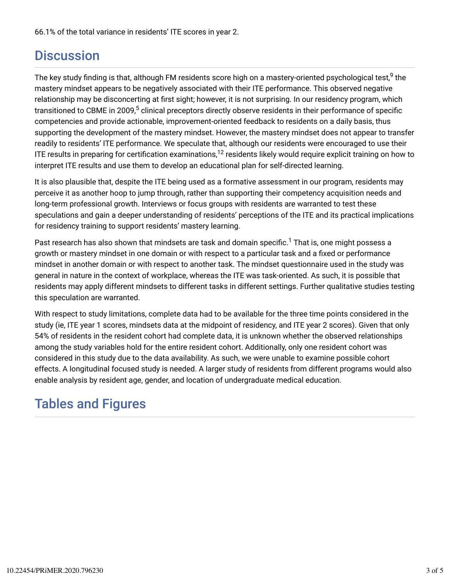66.1% of the total variance in residents' ITE scores in year 2.

### **Discussion**

The key study finding is that, although FM residents score high on a mastery-oriented psychological test, $^9$  the mastery mindset appears to be negatively associated with their ITE performance. This observed negative relationship may be disconcerting at first sight; however, it is not surprising. In our residency program, which transitioned to CBME in 2009,<sup>5</sup> clinical preceptors directly observe residents in their performance of specific competencies and provide actionable, improvement-oriented feedback to residents on a daily basis, thus supporting the development of the mastery mindset. However, the mastery mindset does not appear to transfer readily to residents' ITE performance. We speculate that, although our residents were encouraged to use their ITE results in preparing for certification examinations, $^{12}$  residents likely would require explicit training on how to interpret ITE results and use them to develop an educational plan for self-directed learning.

It is also plausible that, despite the ITE being used as a formative assessment in our program, residents may perceive it as another hoop to jump through, rather than supporting their competency acquisition needs and long-term professional growth. Interviews or focus groups with residents are warranted to test these speculations and gain a deeper understanding of residents' perceptions of the ITE and its practical implications for residency training to support residents' mastery learning.

Past research has also shown that mindsets are task and domain specific. $^1$  That is, one might possess a growth or mastery mindset in one domain or with respect to a particular task and a fixed or performance mindset in another domain or with respect to another task. The mindset questionnaire used in the study was general in nature in the context of workplace, whereas the ITE was task-oriented. As such, it is possible that residents may apply different mindsets to different tasks in different settings. Further qualitative studies testing this speculation are warranted.

With respect to study limitations, complete data had to be available for the three time points considered in the study (ie, ITE year 1 scores, mindsets data at the midpoint of residency, and ITE year 2 scores). Given that only 54% of residents in the resident cohort had complete data, it is unknown whether the observed relationships among the study variables hold for the entire resident cohort. Additionally, only one resident cohort was considered in this study due to the data availability. As such, we were unable to examine possible cohort effects. A longitudinal focused study is needed. A larger study of residents from different programs would also enable analysis by resident age, gender, and location of undergraduate medical education.

# Tables and Figures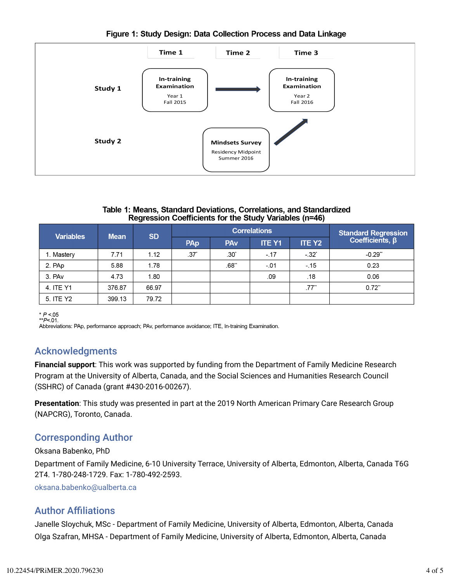#### Figure 1: Study Design: Data Collection Process and Data Linkage



#### Table 1: Means, Standard Deviations, Correlations, and Standardized Regression Coefficients for the Study Variables (n=46)

| <b>Variables</b> | <b>Mean</b> | <b>SD</b> | <b>Correlations</b> |                       |               |                     | <b>Standard Regression</b> |
|------------------|-------------|-----------|---------------------|-----------------------|---------------|---------------------|----------------------------|
|                  |             |           | PAp                 | <b>PA<sub>v</sub></b> | <b>ITE Y1</b> | <b>ITE Y2</b>       | Coefficients, $\beta$      |
| 1. Mastery       | 7.71        | 1.12      | .37'                | .30*                  | $-17$         | $-32^{*}$           | $-0.29$ <sup>**</sup>      |
| 2. PAp           | 5.88        | 1.78      |                     | .68"                  | $-.01$        | $-15$               | 0.23                       |
| 3. PAv           | 4.73        | 1.80      |                     |                       | .09           | .18                 | 0.06                       |
| 4. ITE Y1        | 376.87      | 66.97     |                     |                       |               | $.77$ <sup>**</sup> | $0.72$ **                  |
| 5. ITE Y2        | 399.13      | 79.72     |                     |                       |               |                     |                            |

\*  $P < 05$ <br>\*\* $P < 01$ .

Abbreviations: PAp, performance approach; PAv, performance avoidance; ITE, In-training Examination.

### Acknowledgments

**Financial support**: This work was supported by funding from the Department of Family Medicine Research Program at the University of Alberta, Canada, and the Social Sciences and Humanities Research Council (SSHRC) of Canada (grant #430-2016-00267).

**Presentation**: This study was presented in part at the 2019 North American Primary Care Research Group (NAPCRG), Toronto, Canada.

### Corresponding Author

Oksana Babenko, PhD

Department of Family Medicine, 6-10 University Terrace, University of Alberta, Edmonton, Alberta, Canada T6G 2T4. 1-780-248-1729. Fax: 1-780-492-2593.

oksana.babenko@ualberta.ca

### **Author Affiliations**

Janelle Sloychuk, MSc - Department of Family Medicine, University of Alberta, Edmonton, Alberta, Canada Olga Szafran, MHSA - Department of Family Medicine, University of Alberta, Edmonton, Alberta, Canada